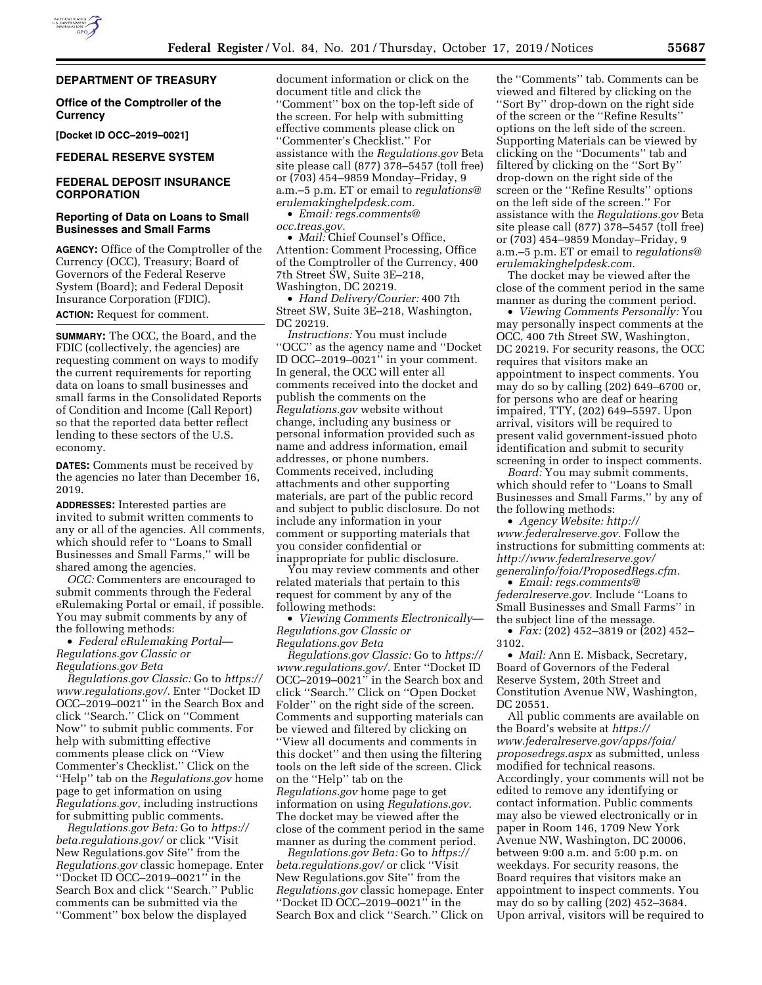## **DEPARTMENT OF TREASURY**

## **Office of the Comptroller of the Currency**

**[Docket ID OCC–2019–0021]** 

# **FEDERAL RESERVE SYSTEM**

# **FEDERAL DEPOSIT INSURANCE CORPORATION**

## **Reporting of Data on Loans to Small Businesses and Small Farms**

**AGENCY:** Office of the Comptroller of the Currency (OCC), Treasury; Board of Governors of the Federal Reserve System (Board); and Federal Deposit Insurance Corporation (FDIC). **ACTION:** Request for comment.

**SUMMARY:** The OCC, the Board, and the FDIC (collectively, the agencies) are requesting comment on ways to modify the current requirements for reporting data on loans to small businesses and small farms in the Consolidated Reports of Condition and Income (Call Report) so that the reported data better reflect lending to these sectors of the U.S. economy.

**DATES:** Comments must be received by the agencies no later than December 16, 2019.

**ADDRESSES:** Interested parties are invited to submit written comments to any or all of the agencies. All comments, which should refer to ''Loans to Small Businesses and Small Farms,'' will be shared among the agencies.

*OCC:* Commenters are encouraged to submit comments through the Federal eRulemaking Portal or email, if possible. You may submit comments by any of the following methods:

• *Federal eRulemaking Portal— Regulations.gov Classic or Regulations.gov Beta* 

*Regulations.gov Classic:* Go to *[https://](https://www.regulations.gov/)  [www.regulations.gov/.](https://www.regulations.gov/)* Enter ''Docket ID OCC–2019–0021'' in the Search Box and click ''Search.'' Click on ''Comment Now'' to submit public comments. For help with submitting effective comments please click on ''View Commenter's Checklist.'' Click on the ''Help'' tab on the *Regulations.gov* home page to get information on using *Regulations.gov*, including instructions for submitting public comments.

*Regulations.gov Beta:* Go to *[https://](https://beta.regulations.gov/) [beta.regulations.gov/](https://beta.regulations.gov/)* or click ''Visit New Regulations.gov Site'' from the *Regulations.gov* classic homepage. Enter ''Docket ID OCC–2019–0021'' in the Search Box and click ''Search.'' Public comments can be submitted via the ''Comment'' box below the displayed

document information or click on the document title and click the ''Comment'' box on the top-left side of the screen. For help with submitting effective comments please click on ''Commenter's Checklist.'' For assistance with the *Regulations.gov* Beta site please call (877) 378–5457 (toll free) or (703) 454–9859 Monday–Friday, 9 a.m.–5 p.m. ET or email to *[regulations@](mailto:regulations@erulemakinghelpdesk.com) [erulemakinghelpdesk.com.](mailto:regulations@erulemakinghelpdesk.com)* 

• *Email: [regs.comments@](mailto:regs.comments@occ.treas.gov) [occ.treas.gov.](mailto:regs.comments@occ.treas.gov)* 

• *Mail:* Chief Counsel's Office, Attention: Comment Processing, Office of the Comptroller of the Currency, 400 7th Street SW, Suite 3E–218, Washington, DC 20219.

• *Hand Delivery/Courier:* 400 7th Street SW, Suite 3E–218, Washington, DC 20219.

*Instructions:* You must include ''OCC'' as the agency name and ''Docket ID OCC–2019–0021'' in your comment. In general, the OCC will enter all comments received into the docket and publish the comments on the *Regulations.gov* website without change, including any business or personal information provided such as name and address information, email addresses, or phone numbers. Comments received, including attachments and other supporting materials, are part of the public record and subject to public disclosure. Do not include any information in your comment or supporting materials that you consider confidential or inappropriate for public disclosure.

You may review comments and other related materials that pertain to this request for comment by any of the following methods:

• *Viewing Comments Electronically— Regulations.gov Classic or Regulations.gov Beta* 

*Regulations.gov Classic:* Go to *[https://](https://www.regulations.gov/)  [www.regulations.gov/.](https://www.regulations.gov/)* Enter ''Docket ID OCC–2019–0021'' in the Search box and click ''Search.'' Click on ''Open Docket Folder'' on the right side of the screen. Comments and supporting materials can be viewed and filtered by clicking on ''View all documents and comments in this docket'' and then using the filtering tools on the left side of the screen. Click on the ''Help'' tab on the *Regulations.gov* home page to get information on using *Regulations.gov*. The docket may be viewed after the close of the comment period in the same manner as during the comment period.

*Regulations.gov Beta:* Go to *[https://](https://beta.regulations.gov/) [beta.regulations.gov/](https://beta.regulations.gov/)* or click ''Visit New Regulations.gov Site'' from the *Regulations.gov* classic homepage. Enter ''Docket ID OCC–2019–0021'' in the Search Box and click ''Search.'' Click on

the ''Comments'' tab. Comments can be viewed and filtered by clicking on the ''Sort By'' drop-down on the right side of the screen or the ''Refine Results'' options on the left side of the screen. Supporting Materials can be viewed by clicking on the ''Documents'' tab and filtered by clicking on the ''Sort By'' drop-down on the right side of the screen or the ''Refine Results'' options on the left side of the screen.'' For assistance with the *Regulations.gov* Beta site please call (877) 378–5457 (toll free) or (703) 454–9859 Monday–Friday, 9 a.m.–5 p.m. ET or email to *[regulations@](mailto:regulations@erulemakinghelpdesk.com) [erulemakinghelpdesk.com.](mailto:regulations@erulemakinghelpdesk.com)* 

The docket may be viewed after the close of the comment period in the same manner as during the comment period.

• *Viewing Comments Personally:* You may personally inspect comments at the OCC, 400 7th Street SW, Washington, DC 20219. For security reasons, the OCC requires that visitors make an appointment to inspect comments. You may do so by calling (202) 649–6700 or, for persons who are deaf or hearing impaired, TTY, (202) 649–5597. Upon arrival, visitors will be required to present valid government-issued photo identification and submit to security screening in order to inspect comments.

*Board:* You may submit comments, which should refer to ''Loans to Small Businesses and Small Farms,'' by any of the following methods:

• *Agency Website: [http://](http://www.federalreserve.gov) [www.federalreserve.gov.](http://www.federalreserve.gov)* Follow the instructions for submitting comments at: *[http://www.federalreserve.gov/](http://www.federalreserve.gov/generalinfo/foia/ProposedRegs.cfm)  [generalinfo/foia/ProposedRegs.cfm.](http://www.federalreserve.gov/generalinfo/foia/ProposedRegs.cfm)* 

• *Email: [regs.comments@](mailto:regs.comments@federalreserve.gov) [federalreserve.gov.](mailto:regs.comments@federalreserve.gov)* Include ''Loans to Small Businesses and Small Farms'' in the subject line of the message.

• *Fax:* (202) 452–3819 or (202) 452– 3102.

• *Mail:* Ann E. Misback, Secretary, Board of Governors of the Federal Reserve System, 20th Street and Constitution Avenue NW, Washington, DC 20551.

All public comments are available on the Board's website at *[https://](https://www.federalreserve.gov/apps/foia/proposedregs.aspx) [www.federalreserve.gov/apps/foia/](https://www.federalreserve.gov/apps/foia/proposedregs.aspx) [proposedregs.aspx](https://www.federalreserve.gov/apps/foia/proposedregs.aspx)* as submitted, unless modified for technical reasons. Accordingly, your comments will not be edited to remove any identifying or contact information. Public comments may also be viewed electronically or in paper in Room 146, 1709 New York Avenue NW, Washington, DC 20006, between 9:00 a.m. and 5:00 p.m. on weekdays. For security reasons, the Board requires that visitors make an appointment to inspect comments. You may do so by calling (202) 452–3684. Upon arrival, visitors will be required to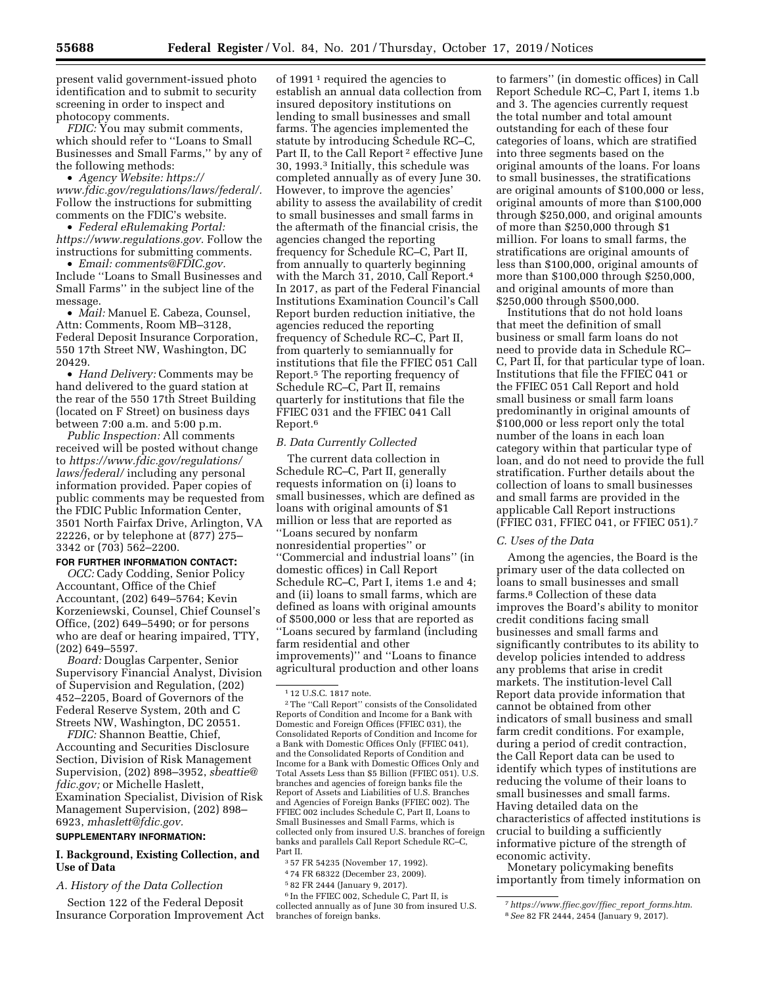present valid government-issued photo identification and to submit to security screening in order to inspect and photocopy comments.

*FDIC:* You may submit comments, which should refer to ''Loans to Small Businesses and Small Farms,'' by any of the following methods:

• *Agency Website: [https://](https://www.fdic.gov/regulations/laws/federal/) [www.fdic.gov/regulations/laws/federal/.](https://www.fdic.gov/regulations/laws/federal/)*  Follow the instructions for submitting comments on the FDIC's website.

• *Federal eRulemaking Portal: [https://www.regulations.gov.](https://www.regulations.gov)* Follow the instructions for submitting comments.

• *Email: [comments@FDIC.gov.](mailto:comments@FDIC.gov)*  Include ''Loans to Small Businesses and Small Farms'' in the subject line of the message.

• *Mail:* Manuel E. Cabeza, Counsel, Attn: Comments, Room MB–3128, Federal Deposit Insurance Corporation, 550 17th Street NW, Washington, DC 20429.

• *Hand Delivery:* Comments may be hand delivered to the guard station at the rear of the 550 17th Street Building (located on F Street) on business days between 7:00 a.m. and 5:00 p.m.

*Public Inspection:* All comments received will be posted without change to *[https://www.fdic.gov/regulations/](https://www.fdic.gov/regulations/laws/federal/)  [laws/federal/](https://www.fdic.gov/regulations/laws/federal/)* including any personal information provided. Paper copies of public comments may be requested from the FDIC Public Information Center, 3501 North Fairfax Drive, Arlington, VA 22226, or by telephone at (877) 275– 3342 or (703) 562–2200.

# **FOR FURTHER INFORMATION CONTACT:**

*OCC:* Cady Codding, Senior Policy Accountant, Office of the Chief Accountant, (202) 649–5764; Kevin Korzeniewski, Counsel, Chief Counsel's Office, (202) 649–5490; or for persons who are deaf or hearing impaired, TTY, (202) 649–5597.

*Board:* Douglas Carpenter, Senior Supervisory Financial Analyst, Division of Supervision and Regulation, (202) 452–2205, Board of Governors of the Federal Reserve System, 20th and C Streets NW, Washington, DC 20551.

*FDIC:* Shannon Beattie, Chief, Accounting and Securities Disclosure Section, Division of Risk Management Supervision, (202) 898–3952, *[sbeattie@](mailto:sbeattie@fdic.gov) [fdic.gov;](mailto:sbeattie@fdic.gov)* or Michelle Haslett, Examination Specialist, Division of Risk Management Supervision, (202) 898– 6923, *[mhaslett@fdic.gov.](mailto:mhaslett@fdic.gov)* 

#### **SUPPLEMENTARY INFORMATION:**

### **I. Background, Existing Collection, and Use of Data**

*A. History of the Data Collection* 

Section 122 of the Federal Deposit Insurance Corporation Improvement Act

of 1991<sup>1</sup> required the agencies to establish an annual data collection from insured depository institutions on lending to small businesses and small farms. The agencies implemented the statute by introducing Schedule RC–C, Part II, to the Call Report 2 effective June 30, 1993.3 Initially, this schedule was completed annually as of every June 30. However, to improve the agencies' ability to assess the availability of credit to small businesses and small farms in the aftermath of the financial crisis, the agencies changed the reporting frequency for Schedule RC–C, Part II, from annually to quarterly beginning with the March 31, 2010, Call Report.4 In 2017, as part of the Federal Financial Institutions Examination Council's Call Report burden reduction initiative, the agencies reduced the reporting frequency of Schedule RC–C, Part II, from quarterly to semiannually for institutions that file the FFIEC 051 Call Report.5 The reporting frequency of Schedule RC–C, Part II, remains quarterly for institutions that file the FFIEC 031 and the FFIEC 041 Call Report.6

## *B. Data Currently Collected*

The current data collection in Schedule RC–C, Part II, generally requests information on (i) loans to small businesses, which are defined as loans with original amounts of \$1 million or less that are reported as ''Loans secured by nonfarm nonresidential properties'' or ''Commercial and industrial loans'' (in domestic offices) in Call Report Schedule RC–C, Part I, items 1.e and 4; and (ii) loans to small farms, which are defined as loans with original amounts of \$500,000 or less that are reported as ''Loans secured by farmland (including farm residential and other improvements)'' and ''Loans to finance agricultural production and other loans

3 57 FR 54235 (November 17, 1992).

4 74 FR 68322 (December 23, 2009).

5 82 FR 2444 (January 9, 2017).

6 In the FFIEC 002, Schedule C, Part II, is collected annually as of June 30 from insured U.S. branches of foreign banks.

to farmers'' (in domestic offices) in Call Report Schedule RC–C, Part I, items 1.b and 3. The agencies currently request the total number and total amount outstanding for each of these four categories of loans, which are stratified into three segments based on the original amounts of the loans. For loans to small businesses, the stratifications are original amounts of \$100,000 or less, original amounts of more than \$100,000 through \$250,000, and original amounts of more than \$250,000 through \$1 million. For loans to small farms, the stratifications are original amounts of less than \$100,000, original amounts of more than \$100,000 through \$250,000, and original amounts of more than \$250,000 through \$500,000.

Institutions that do not hold loans that meet the definition of small business or small farm loans do not need to provide data in Schedule RC– C, Part II, for that particular type of loan. Institutions that file the FFIEC 041 or the FFIEC 051 Call Report and hold small business or small farm loans predominantly in original amounts of \$100,000 or less report only the total number of the loans in each loan category within that particular type of loan, and do not need to provide the full stratification. Further details about the collection of loans to small businesses and small farms are provided in the applicable Call Report instructions (FFIEC 031, FFIEC 041, or FFIEC 051).7

#### *C. Uses of the Data*

Among the agencies, the Board is the primary user of the data collected on loans to small businesses and small farms.8 Collection of these data improves the Board's ability to monitor credit conditions facing small businesses and small farms and significantly contributes to its ability to develop policies intended to address any problems that arise in credit markets. The institution-level Call Report data provide information that cannot be obtained from other indicators of small business and small farm credit conditions. For example, during a period of credit contraction, the Call Report data can be used to identify which types of institutions are reducing the volume of their loans to small businesses and small farms. Having detailed data on the characteristics of affected institutions is crucial to building a sufficiently informative picture of the strength of economic activity.

Monetary policymaking benefits importantly from timely information on

<sup>1</sup> 12 U.S.C. 1817 note.

<sup>2</sup>The ''Call Report'' consists of the Consolidated Reports of Condition and Income for a Bank with Domestic and Foreign Offices (FFIEC 031), the Consolidated Reports of Condition and Income for a Bank with Domestic Offices Only (FFIEC 041), and the Consolidated Reports of Condition and Income for a Bank with Domestic Offices Only and Total Assets Less than \$5 Billion (FFIEC 051). U.S. branches and agencies of foreign banks file the Report of Assets and Liabilities of U.S. Branches and Agencies of Foreign Banks (FFIEC 002). The FFIEC 002 includes Schedule C, Part II, Loans to Small Businesses and Small Farms, which is collected only from insured U.S. branches of foreign banks and parallels Call Report Schedule RC–C, Part II.

<sup>7</sup>*[https://www.ffiec.gov/ffiec](https://www.ffiec.gov/ffiec_report_forms.htm)*\_*report*\_*forms.htm*. 8*See* 82 FR 2444, 2454 (January 9, 2017).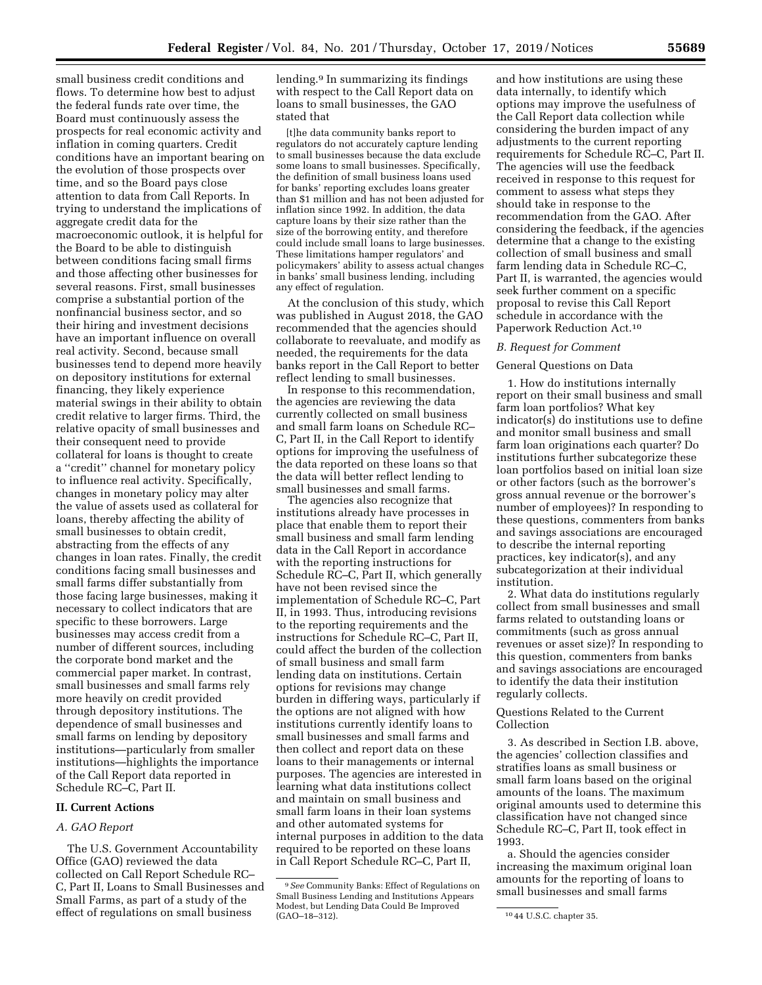small business credit conditions and flows. To determine how best to adjust the federal funds rate over time, the Board must continuously assess the prospects for real economic activity and inflation in coming quarters. Credit conditions have an important bearing on the evolution of those prospects over time, and so the Board pays close attention to data from Call Reports. In trying to understand the implications of aggregate credit data for the macroeconomic outlook, it is helpful for the Board to be able to distinguish between conditions facing small firms and those affecting other businesses for several reasons. First, small businesses comprise a substantial portion of the nonfinancial business sector, and so their hiring and investment decisions have an important influence on overall real activity. Second, because small businesses tend to depend more heavily on depository institutions for external financing, they likely experience material swings in their ability to obtain credit relative to larger firms. Third, the relative opacity of small businesses and their consequent need to provide collateral for loans is thought to create a ''credit'' channel for monetary policy to influence real activity. Specifically, changes in monetary policy may alter the value of assets used as collateral for loans, thereby affecting the ability of small businesses to obtain credit, abstracting from the effects of any changes in loan rates. Finally, the credit conditions facing small businesses and small farms differ substantially from those facing large businesses, making it necessary to collect indicators that are specific to these borrowers. Large businesses may access credit from a number of different sources, including the corporate bond market and the commercial paper market. In contrast, small businesses and small farms rely more heavily on credit provided through depository institutions. The dependence of small businesses and small farms on lending by depository institutions—particularly from smaller institutions—highlights the importance of the Call Report data reported in Schedule RC–C, Part II.

## **II. Current Actions**

### *A. GAO Report*

The U.S. Government Accountability Office (GAO) reviewed the data collected on Call Report Schedule RC– C, Part II, Loans to Small Businesses and Small Farms, as part of a study of the effect of regulations on small business

lending.9 In summarizing its findings with respect to the Call Report data on loans to small businesses, the GAO stated that

[t]he data community banks report to regulators do not accurately capture lending to small businesses because the data exclude some loans to small businesses. Specifically, the definition of small business loans used for banks' reporting excludes loans greater than \$1 million and has not been adjusted for inflation since 1992. In addition, the data capture loans by their size rather than the size of the borrowing entity, and therefore could include small loans to large businesses. These limitations hamper regulators' and policymakers' ability to assess actual changes in banks' small business lending, including any effect of regulation.

At the conclusion of this study, which was published in August 2018, the GAO recommended that the agencies should collaborate to reevaluate, and modify as needed, the requirements for the data banks report in the Call Report to better reflect lending to small businesses.

In response to this recommendation, the agencies are reviewing the data currently collected on small business and small farm loans on Schedule RC– C, Part II, in the Call Report to identify options for improving the usefulness of the data reported on these loans so that the data will better reflect lending to small businesses and small farms.

The agencies also recognize that institutions already have processes in place that enable them to report their small business and small farm lending data in the Call Report in accordance with the reporting instructions for Schedule RC–C, Part II, which generally have not been revised since the implementation of Schedule RC–C, Part II, in 1993. Thus, introducing revisions to the reporting requirements and the instructions for Schedule RC–C, Part II, could affect the burden of the collection of small business and small farm lending data on institutions. Certain options for revisions may change burden in differing ways, particularly if the options are not aligned with how institutions currently identify loans to small businesses and small farms and then collect and report data on these loans to their managements or internal purposes. The agencies are interested in learning what data institutions collect and maintain on small business and small farm loans in their loan systems and other automated systems for internal purposes in addition to the data required to be reported on these loans in Call Report Schedule RC–C, Part II,

and how institutions are using these data internally, to identify which options may improve the usefulness of the Call Report data collection while considering the burden impact of any adjustments to the current reporting requirements for Schedule RC–C, Part II. The agencies will use the feedback received in response to this request for comment to assess what steps they should take in response to the recommendation from the GAO. After considering the feedback, if the agencies determine that a change to the existing collection of small business and small farm lending data in Schedule RC–C, Part II, is warranted, the agencies would seek further comment on a specific proposal to revise this Call Report schedule in accordance with the Paperwork Reduction Act.10

## *B. Request for Comment*

### General Questions on Data

1. How do institutions internally report on their small business and small farm loan portfolios? What key indicator(s) do institutions use to define and monitor small business and small farm loan originations each quarter? Do institutions further subcategorize these loan portfolios based on initial loan size or other factors (such as the borrower's gross annual revenue or the borrower's number of employees)? In responding to these questions, commenters from banks and savings associations are encouraged to describe the internal reporting practices, key indicator(s), and any subcategorization at their individual institution.

2. What data do institutions regularly collect from small businesses and small farms related to outstanding loans or commitments (such as gross annual revenues or asset size)? In responding to this question, commenters from banks and savings associations are encouraged to identify the data their institution regularly collects.

## Questions Related to the Current Collection

3. As described in Section I.B. above, the agencies' collection classifies and stratifies loans as small business or small farm loans based on the original amounts of the loans. The maximum original amounts used to determine this classification have not changed since Schedule RC–C, Part II, took effect in 1993.

a. Should the agencies consider increasing the maximum original loan amounts for the reporting of loans to small businesses and small farms

<sup>9</sup>*See* Community Banks: Effect of Regulations on Small Business Lending and Institutions Appears Modest, but Lending Data Could Be Improved<br>(GAO–18–312).

<sup>&</sup>lt;sup>10</sup> 44 U.S.C. chapter 35.